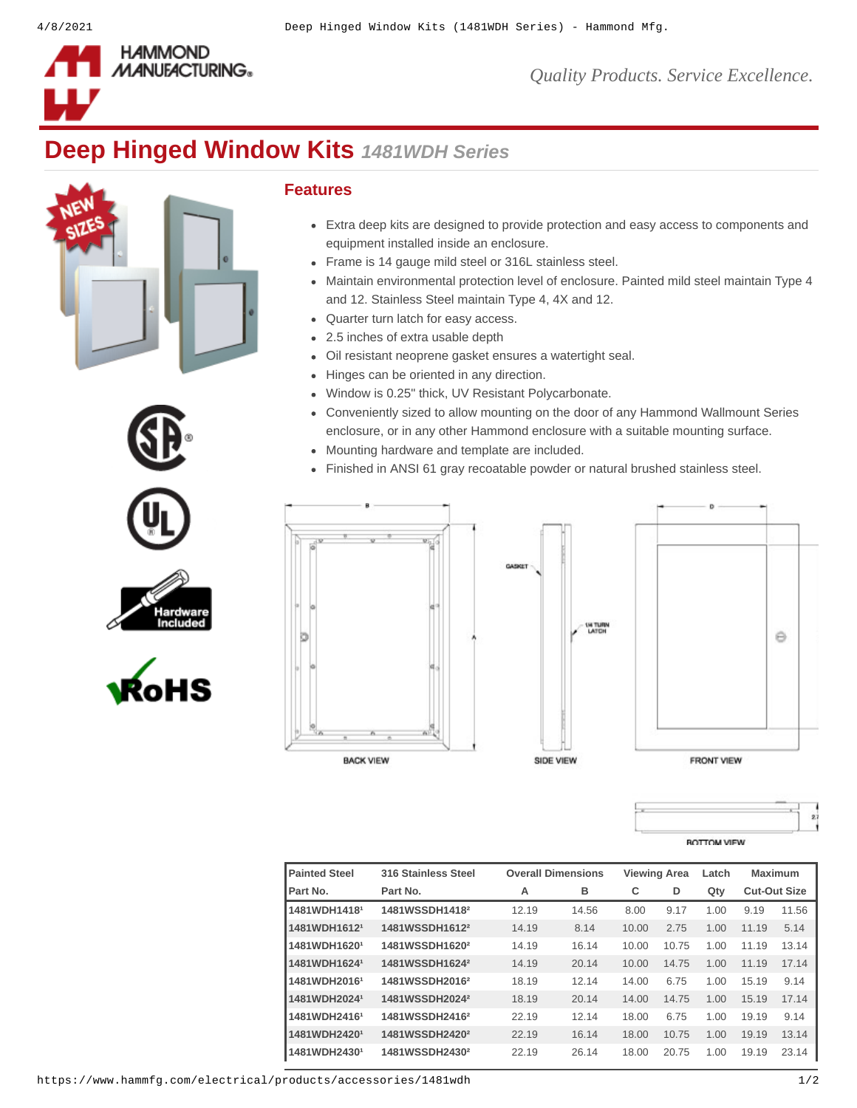

*Quality Products. Service Excellence.*

## **Deep Hinged Window Kits** *1481WDH Series*









## **Features**

- Extra deep kits are designed to provide protection and easy access to components and equipment installed inside an enclosure.
- Frame is 14 gauge mild steel or 316L stainless steel.
- Maintain environmental protection level of enclosure. Painted mild steel maintain Type 4 and 12. Stainless Steel maintain Type 4, 4X and 12.
- Quarter turn latch for easy access.
- 2.5 inches of extra usable depth
- Oil resistant neoprene gasket ensures a watertight seal.
- Hinges can be oriented in any direction.
- Window is 0.25" thick, UV Resistant Polycarbonate.
- Conveniently sized to allow mounting on the door of any Hammond Wallmount Series enclosure, or in any other Hammond enclosure with a suitable mounting surface.

**U4 TURN**<br>LATCH

5

- Mounting hardware and template are included.
- Finished in ANSI 61 gray recoatable powder or natural brushed stainless steel.





$$
\begin{array}{c|c}\n\hline\n\end{array}
$$

| <b>Painted Steel</b>     | <b>316 Stainless Steel</b> | <b>Overall Dimensions</b> |       | <b>Viewing Area</b> |       | Latch | Maximum             |       |
|--------------------------|----------------------------|---------------------------|-------|---------------------|-------|-------|---------------------|-------|
| Part No.                 | Part No.                   | А                         | в     | C                   | D     | Qty   | <b>Cut-Out Size</b> |       |
| 1481WDH1418 <sup>1</sup> | 1481WSSDH1418 <sup>2</sup> | 12.19                     | 14.56 | 8.00                | 9.17  | 1.00  | 9.19                | 11.56 |
| 1481WDH1612 <sup>1</sup> | 1481WSSDH1612 <sup>2</sup> | 14.19                     | 8.14  | 10.00               | 2.75  | 1.00  | 11.19               | 5.14  |
| 1481WDH1620 <sup>1</sup> | 1481WSSDH1620 <sup>2</sup> | 14.19                     | 16.14 | 10.00               | 10.75 | 1.00  | 11.19               | 13.14 |
| 1481WDH1624 <sup>1</sup> | 1481WSSDH1624 <sup>2</sup> | 14.19                     | 20.14 | 10.00               | 14.75 | 1.00  | 11.19               | 17.14 |
| 1481WDH2016 <sup>1</sup> | 1481WSSDH2016 <sup>2</sup> | 18.19                     | 12.14 | 14.00               | 6.75  | 1.00  | 15.19               | 9.14  |
| 1481WDH2024 <sup>1</sup> | 1481WSSDH2024 <sup>2</sup> | 18.19                     | 20.14 | 14.00               | 14.75 | 1.00  | 15.19               | 17.14 |
| 1481WDH2416 <sup>1</sup> | 1481WSSDH2416 <sup>2</sup> | 22.19                     | 12.14 | 18.00               | 6.75  | 1.00  | 19.19               | 9.14  |
| 1481WDH2420 <sup>1</sup> | 1481WSSDH2420 <sup>2</sup> | 22.19                     | 16.14 | 18.00               | 10.75 | 1.00  | 19.19               | 13.14 |
| 1481WDH2430 <sup>1</sup> | 1481WSSDH2430 <sup>2</sup> | 22.19                     | 26.14 | 18.00               | 20.75 | 1.00  | 19.19               | 23.14 |